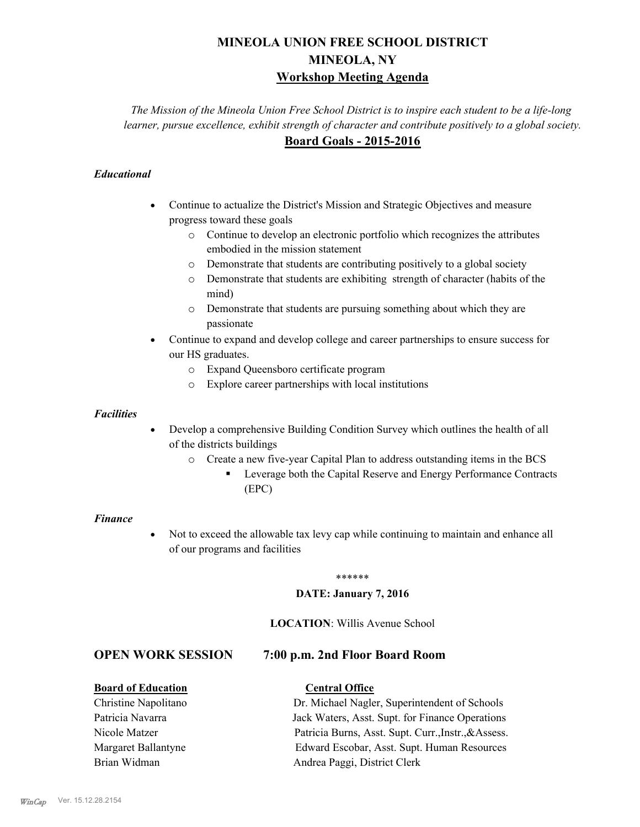# **MINEOLA UNION FREE SCHOOL DISTRICT MINEOLA, NY Workshop Meeting Agenda**

*The Mission of the Mineola Union Free School District is to inspire each student to be a life-long learner, pursue excellence, exhibit strength of character and contribute positively to a global society.* **Board Goals - 2015-2016**

### *Educational*

- · Continue to actualize the District's Mission and Strategic Objectives and measure progress toward these goals
	- o Continue to develop an electronic portfolio which recognizes the attributes embodied in the mission statement
	- o Demonstrate that students are contributing positively to a global society
	- o Demonstrate that students are exhibiting strength of character (habits of the mind)
	- o Demonstrate that students are pursuing something about which they are passionate
- Continue to expand and develop college and career partnerships to ensure success for our HS graduates.
	- o Expand Queensboro certificate program
	- o Explore career partnerships with local institutions

#### *Facilities*

- Develop a comprehensive Building Condition Survey which outlines the health of all of the districts buildings
	- o Create a new five-year Capital Plan to address outstanding items in the BCS
		- § Leverage both the Capital Reserve and Energy Performance Contracts (EPC)

#### *Finance*

• Not to exceed the allowable tax levy cap while continuing to maintain and enhance all of our programs and facilities

#### \*\*\*\*\*\*

#### **DATE: January 7, 2016**

#### **LOCATION**: Willis Avenue School

#### **OPEN WORK SESSION 7:00 p.m. 2nd Floor Board Room**

#### **Board of Education Central Office**

Christine Napolitano Dr. Michael Nagler, Superintendent of Schools Patricia Navarra Jack Waters, Asst. Supt. for Finance Operations Nicole Matzer Patricia Burns, Asst. Supt. Curr.,Instr.,&Assess. Margaret Ballantyne Edward Escobar, Asst. Supt. Human Resources Brian Widman **Andrea Paggi, District Clerk**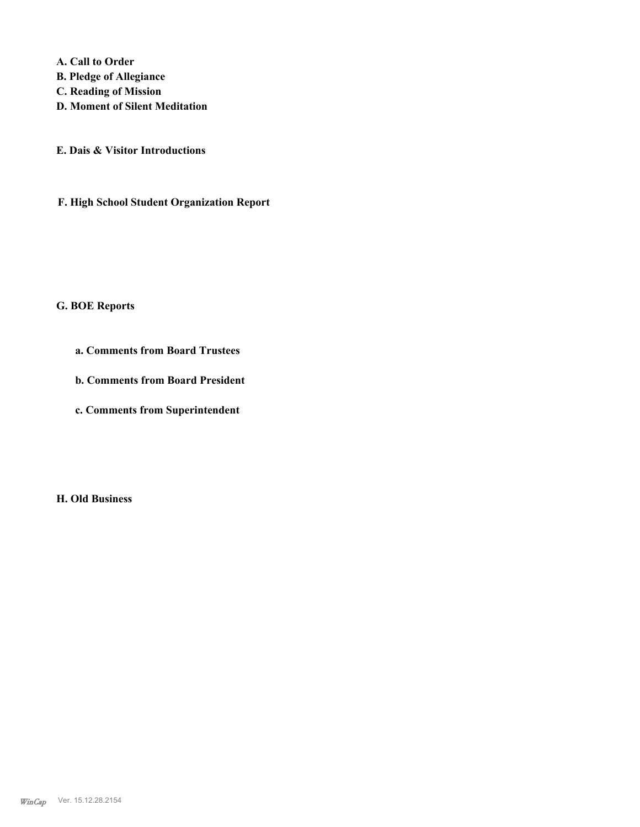**A. Call to Order** 

- **B. Pledge of Allegiance**
- **C. Reading of Mission**
- **D. Moment of Silent Meditation**
- **E. Dais & Visitor Introductions**
- **F. High School Student Organization Report**

# **G. BOE Reports**

- **a. Comments from Board Trustees**
- **b. Comments from Board President**
- **c. Comments from Superintendent**

**H. Old Business**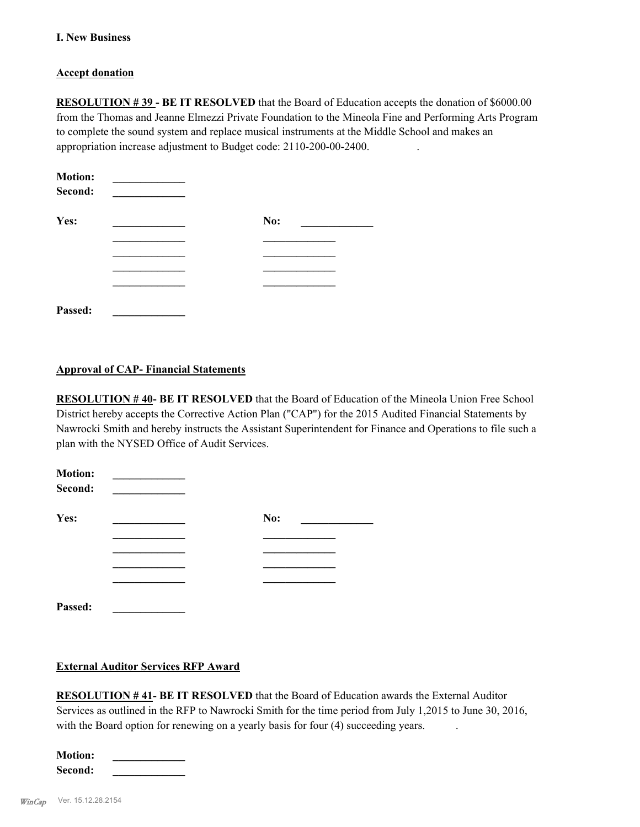#### **I. New Business**

#### **Accept donation**

**RESOLUTION # 39 - BE IT RESOLVED** that the Board of Education accepts the donation of \$6000.00 from the Thomas and Jeanne Elmezzi Private Foundation to the Mineola Fine and Performing Arts Program to complete the sound system and replace musical instruments at the Middle School and makes an appropriation increase adjustment to Budget code: 2110-200-00-2400. .

| <b>Motion:</b><br>Second: |     |  |
|---------------------------|-----|--|
| Yes:                      | No: |  |
|                           |     |  |
|                           |     |  |
|                           |     |  |
|                           |     |  |
| Passed:                   |     |  |

#### **Approval of CAP- Financial Statements**

**RESOLUTION # 40- BE IT RESOLVED** that the Board of Education of the Mineola Union Free School District hereby accepts the Corrective Action Plan ("CAP") for the 2015 Audited Financial Statements by Nawrocki Smith and hereby instructs the Assistant Superintendent for Finance and Operations to file such a plan with the NYSED Office of Audit Services.

| <b>Motion:</b><br>Second: |     |  |
|---------------------------|-----|--|
| Yes:                      | No: |  |
|                           |     |  |
|                           |     |  |
|                           |     |  |
|                           |     |  |
| Passed:                   |     |  |

#### **External Auditor Services RFP Award**

**RESOLUTION # 41- BE IT RESOLVED** that the Board of Education awards the External Auditor Services as outlined in the RFP to Nawrocki Smith for the time period from July 1,2015 to June 30, 2016, with the Board option for renewing on a yearly basis for four (4) succeeding years.

| <b>Motion:</b> |  |
|----------------|--|
| Second:        |  |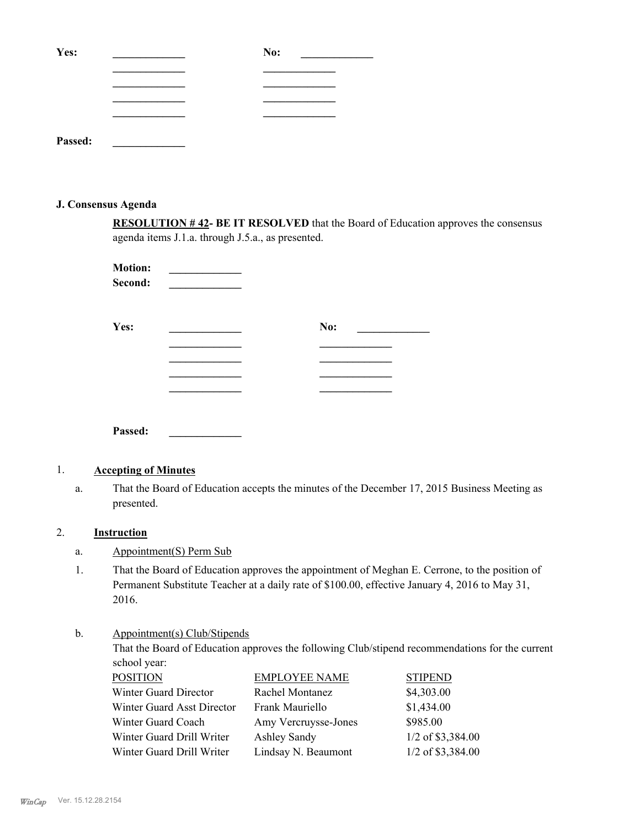| Yes:    | No: |
|---------|-----|
|         |     |
|         |     |
|         |     |
|         |     |
| Passed: |     |

#### **J. Consensus Agenda**

**RESOLUTION # 42- BE IT RESOLVED** that the Board of Education approves the consensus agenda items J.1.a. through J.5.a., as presented.

| <b>Motion:</b><br>Second: |     |  |
|---------------------------|-----|--|
| Yes:                      | No: |  |
|                           |     |  |
|                           |     |  |
|                           |     |  |
|                           |     |  |
| Passed:                   |     |  |

## 1. **Accepting of Minutes**

That the Board of Education accepts the minutes of the December 17, 2015 Business Meeting as presented. a.

#### 2. **Instruction**

- a. Appointment(S) Perm Sub
- That the Board of Education approves the appointment of Meghan E. Cerrone, to the position of Permanent Substitute Teacher at a daily rate of \$100.00, effective January 4, 2016 to May 31, 2016. 1.

#### Appointment(s) Club/Stipends b.

That the Board of Education approves the following Club/stipend recommendations for the current school year:

| <b>POSITION</b>            | <b>EMPLOYEE NAME</b> | <b>STIPEND</b>      |
|----------------------------|----------------------|---------------------|
| Winter Guard Director      | Rachel Montanez      | \$4,303.00          |
| Winter Guard Asst Director | Frank Mauriello      | \$1,434.00          |
| Winter Guard Coach         | Amy Vercruysse-Jones | \$985.00            |
| Winter Guard Drill Writer  | <b>Ashley Sandy</b>  | 1/2 of \$3,384.00   |
| Winter Guard Drill Writer  | Lindsay N. Beaumont  | $1/2$ of \$3,384.00 |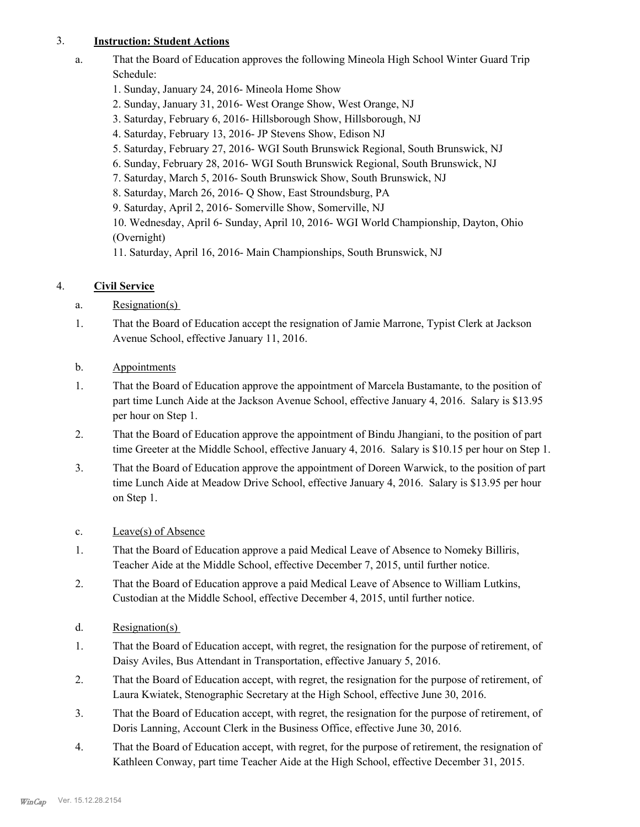### 3. **Instruction: Student Actions**

a.

That the Board of Education approves the following Mineola High School Winter Guard Trip Schedule:

- 1. Sunday, January 24, 2016- Mineola Home Show
- 2. Sunday, January 31, 2016- West Orange Show, West Orange, NJ
- 3. Saturday, February 6, 2016- Hillsborough Show, Hillsborough, NJ
- 4. Saturday, February 13, 2016- JP Stevens Show, Edison NJ
- 5. Saturday, February 27, 2016- WGI South Brunswick Regional, South Brunswick, NJ
- 6. Sunday, February 28, 2016- WGI South Brunswick Regional, South Brunswick, NJ
- 7. Saturday, March 5, 2016- South Brunswick Show, South Brunswick, NJ
- 8. Saturday, March 26, 2016- Q Show, East Stroundsburg, PA
- 9. Saturday, April 2, 2016- Somerville Show, Somerville, NJ

10. Wednesday, April 6- Sunday, April 10, 2016- WGI World Championship, Dayton, Ohio (Overnight)

11. Saturday, April 16, 2016- Main Championships, South Brunswick, NJ

# 4. **Civil Service**

- a. Resignation(s)
- That the Board of Education accept the resignation of Jamie Marrone, Typist Clerk at Jackson Avenue School, effective January 11, 2016. 1.
- b. Appointments
- That the Board of Education approve the appointment of Marcela Bustamante, to the position of part time Lunch Aide at the Jackson Avenue School, effective January 4, 2016. Salary is \$13.95 per hour on Step 1. 1.
- That the Board of Education approve the appointment of Bindu Jhangiani, to the position of part time Greeter at the Middle School, effective January 4, 2016. Salary is \$10.15 per hour on Step 1. 2.
- That the Board of Education approve the appointment of Doreen Warwick, to the position of part time Lunch Aide at Meadow Drive School, effective January 4, 2016. Salary is \$13.95 per hour on Step 1. 3.
- c. Leave(s) of Absence
- That the Board of Education approve a paid Medical Leave of Absence to Nomeky Billiris, Teacher Aide at the Middle School, effective December 7, 2015, until further notice. 1.
- That the Board of Education approve a paid Medical Leave of Absence to William Lutkins, Custodian at the Middle School, effective December 4, 2015, until further notice. 2.
- d. Resignation(s)
- That the Board of Education accept, with regret, the resignation for the purpose of retirement, of Daisy Aviles, Bus Attendant in Transportation, effective January 5, 2016. 1.
- That the Board of Education accept, with regret, the resignation for the purpose of retirement, of Laura Kwiatek, Stenographic Secretary at the High School, effective June 30, 2016. 2.
- That the Board of Education accept, with regret, the resignation for the purpose of retirement, of Doris Lanning, Account Clerk in the Business Office, effective June 30, 2016. 3.
- That the Board of Education accept, with regret, for the purpose of retirement, the resignation of Kathleen Conway, part time Teacher Aide at the High School, effective December 31, 2015. 4.